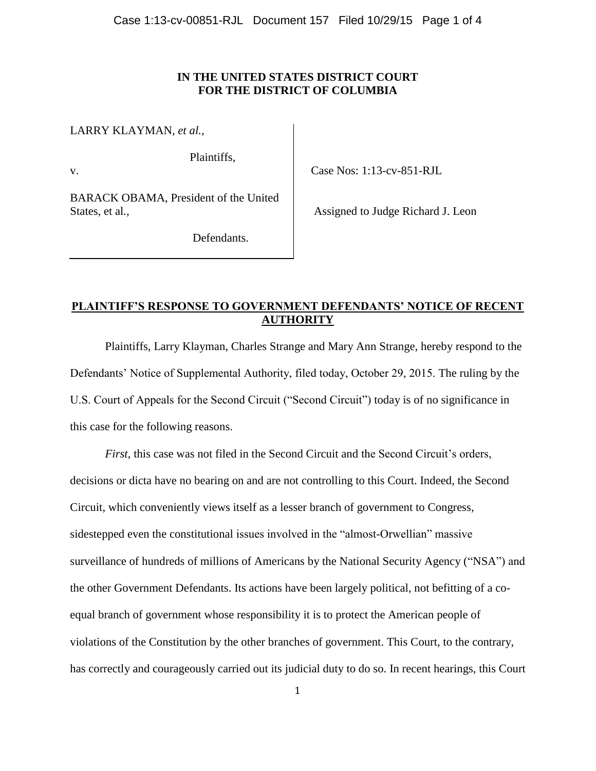# **IN THE UNITED STATES DISTRICT COURT FOR THE DISTRICT OF COLUMBIA**

LARRY KLAYMAN, *et al.,* 

v.

Plaintiffs,

Case Nos: 1:13-cv-851-RJL

BARACK OBAMA, President of the United States, et al*.,*

Assigned to Judge Richard J. Leon

Defendants.

# **PLAINTIFF'S RESPONSE TO GOVERNMENT DEFENDANTS' NOTICE OF RECENT AUTHORITY**

Plaintiffs, Larry Klayman, Charles Strange and Mary Ann Strange, hereby respond to the Defendants' Notice of Supplemental Authority, filed today, October 29, 2015. The ruling by the U.S. Court of Appeals for the Second Circuit ("Second Circuit") today is of no significance in this case for the following reasons.

*First*, this case was not filed in the Second Circuit and the Second Circuit's orders, decisions or dicta have no bearing on and are not controlling to this Court. Indeed, the Second Circuit, which conveniently views itself as a lesser branch of government to Congress, sidestepped even the constitutional issues involved in the "almost-Orwellian" massive surveillance of hundreds of millions of Americans by the National Security Agency ("NSA") and the other Government Defendants. Its actions have been largely political, not befitting of a coequal branch of government whose responsibility it is to protect the American people of violations of the Constitution by the other branches of government. This Court, to the contrary, has correctly and courageously carried out its judicial duty to do so. In recent hearings, this Court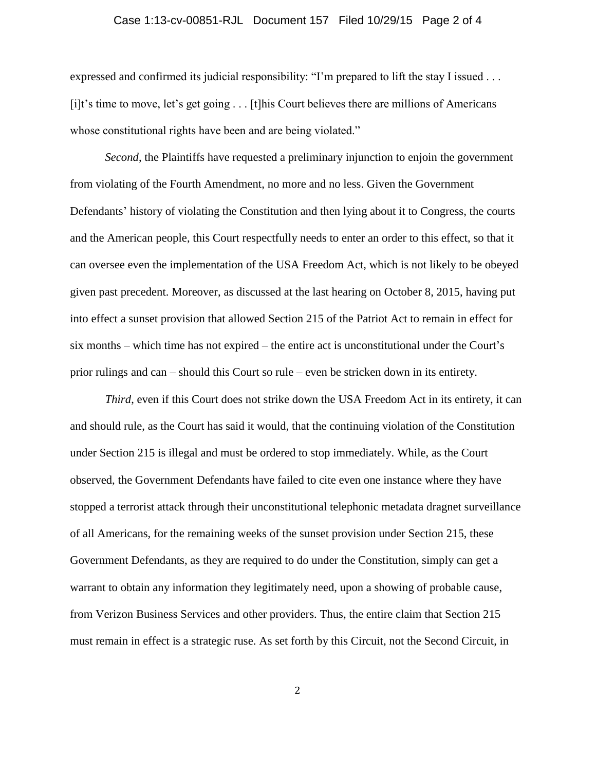#### Case 1:13-cv-00851-RJL Document 157 Filed 10/29/15 Page 2 of 4

expressed and confirmed its judicial responsibility: "I'm prepared to lift the stay I issued . . . [i]t's time to move, let's get going . . . [t]his Court believes there are millions of Americans whose constitutional rights have been and are being violated."

*Second*, the Plaintiffs have requested a preliminary injunction to enjoin the government from violating of the Fourth Amendment, no more and no less. Given the Government Defendants' history of violating the Constitution and then lying about it to Congress, the courts and the American people, this Court respectfully needs to enter an order to this effect, so that it can oversee even the implementation of the USA Freedom Act, which is not likely to be obeyed given past precedent. Moreover, as discussed at the last hearing on October 8, 2015, having put into effect a sunset provision that allowed Section 215 of the Patriot Act to remain in effect for six months – which time has not expired – the entire act is unconstitutional under the Court's prior rulings and can – should this Court so rule – even be stricken down in its entirety.

*Third*, even if this Court does not strike down the USA Freedom Act in its entirety, it can and should rule, as the Court has said it would, that the continuing violation of the Constitution under Section 215 is illegal and must be ordered to stop immediately. While, as the Court observed, the Government Defendants have failed to cite even one instance where they have stopped a terrorist attack through their unconstitutional telephonic metadata dragnet surveillance of all Americans, for the remaining weeks of the sunset provision under Section 215, these Government Defendants, as they are required to do under the Constitution, simply can get a warrant to obtain any information they legitimately need, upon a showing of probable cause, from Verizon Business Services and other providers. Thus, the entire claim that Section 215 must remain in effect is a strategic ruse. As set forth by this Circuit, not the Second Circuit, in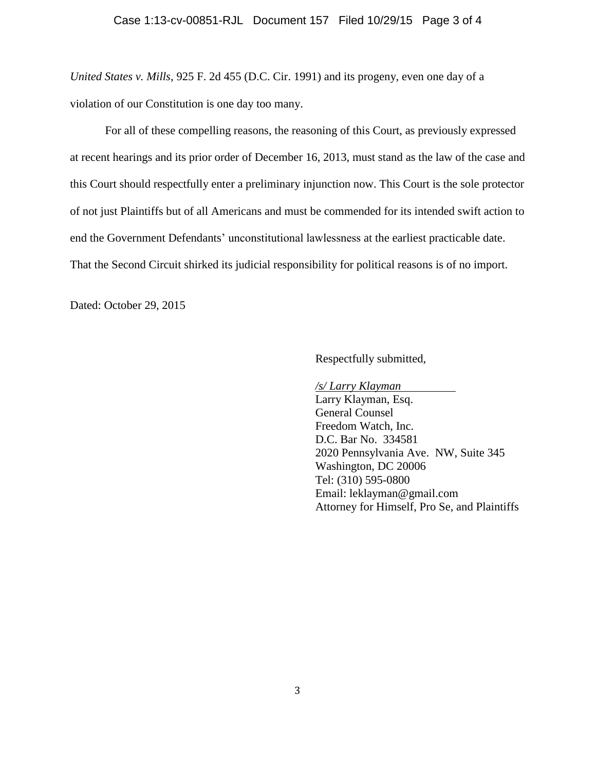*United States v. Mills*, 925 F. 2d 455 (D.C. Cir. 1991) and its progeny, even one day of a violation of our Constitution is one day too many.

For all of these compelling reasons, the reasoning of this Court, as previously expressed at recent hearings and its prior order of December 16, 2013, must stand as the law of the case and this Court should respectfully enter a preliminary injunction now. This Court is the sole protector of not just Plaintiffs but of all Americans and must be commended for its intended swift action to end the Government Defendants' unconstitutional lawlessness at the earliest practicable date. That the Second Circuit shirked its judicial responsibility for political reasons is of no import.

Dated: October 29, 2015

Respectfully submitted,

*/s/ Larry Klayman*

Larry Klayman, Esq. General Counsel Freedom Watch, Inc. D.C. Bar No. 334581 2020 Pennsylvania Ave. NW, Suite 345 Washington, DC 20006 Tel: (310) 595-0800 Email: leklayman@gmail.com Attorney for Himself, Pro Se, and Plaintiffs